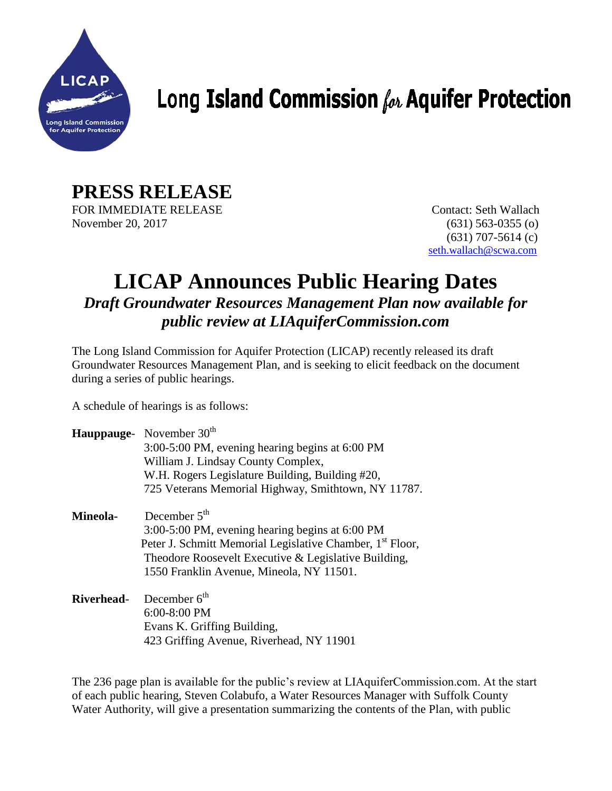

## Long Island Commission  $f_{\alpha k}$  Aquifer Protection

**PRESS RELEASE** FOR IMMEDIATE RELEASE Contact: Seth Wallach November 20, 2017 (631) 563-0355 (o)

 (631) 707-5614 (c) [seth.wallach@scwa.com](mailto:seth.wallach@scwa.com)

## **LICAP Announces Public Hearing Dates** *Draft Groundwater Resources Management Plan now available for public review at LIAquiferCommission.com*

The Long Island Commission for Aquifer Protection (LICAP) recently released its draft Groundwater Resources Management Plan, and is seeking to elicit feedback on the document during a series of public hearings.

A schedule of hearings is as follows:

|                   | Hauppauge- November 30th<br>3:00-5:00 PM, evening hearing begins at 6:00 PM<br>William J. Lindsay County Complex,<br>W.H. Rogers Legislature Building, Building #20,<br>725 Veterans Memorial Highway, Smithtown, NY 11787.                    |
|-------------------|------------------------------------------------------------------------------------------------------------------------------------------------------------------------------------------------------------------------------------------------|
| <b>Mineola-</b>   | December $5th$<br>3:00-5:00 PM, evening hearing begins at 6:00 PM<br>Peter J. Schmitt Memorial Legislative Chamber, 1 <sup>st</sup> Floor,<br>Theodore Roosevelt Executive & Legislative Building,<br>1550 Franklin Avenue, Mineola, NY 11501. |
| <b>Riverhead-</b> | December $6^{\text{th}}$<br>$6:00-8:00$ PM<br>Evans K. Griffing Building,<br>423 Griffing Avenue, Riverhead, NY 11901                                                                                                                          |

The 236 page plan is available for the public's review at LIAquiferCommission.com. At the start of each public hearing, Steven Colabufo, a Water Resources Manager with Suffolk County Water Authority, will give a presentation summarizing the contents of the Plan, with public